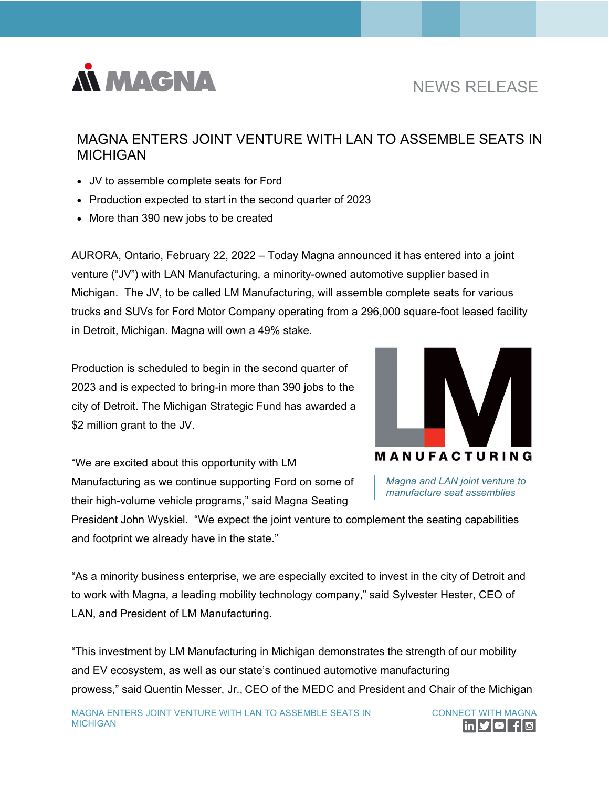

# NEWS RELEASE

## MAGNA ENTERS JOINT VENTURE WITH LAN TO ASSEMBLE SEATS IN MICHIGAN

- JV to assemble complete seats for Ford
- Production expected to start in the second quarter of 2023
- More than 390 new jobs to be created

AURORA, Ontario, February 22, 2022 – Today Magna announced it has entered into a joint venture ("JV") with LAN Manufacturing, a minority-owned automotive supplier based in Michigan. The JV, to be called LM Manufacturing, will assemble complete seats for various trucks and SUVs for Ford Motor Company operating from a 296,000 square-foot leased facility in Detroit, Michigan. Magna will own a 49% stake.

Production is scheduled to begin in the second quarter of 2023 and is expected to bring-in more than 390 jobs to the city of Detroit. The Michigan Strategic Fund has awarded a \$2 million grant to the JV.

"We are excited about this opportunity with LM Manufacturing as we continue supporting Ford on some of their high-volume vehicle programs," said Magna Seating



*Magna and LAN joint venture to manufacture seat assemblies* 

President John Wyskiel. "We expect the joint venture to complement the seating capabilities and footprint we already have in the state."

"As a minority business enterprise, we are especially excited to invest in the city of Detroit and to work with Magna, a leading mobility technology company," said Sylvester Hester, CEO of LAN, and President of LM Manufacturing.

"This investment by LM Manufacturing in Michigan demonstrates the strength of our mobility and EV ecosystem, as well as our state's continued automotive manufacturing prowess," said Quentin Messer, Jr., CEO of the MEDC and President and Chair of the Michigan

CONNECT WITH MAGNA |in|୨'|©| <del>f</del>|©|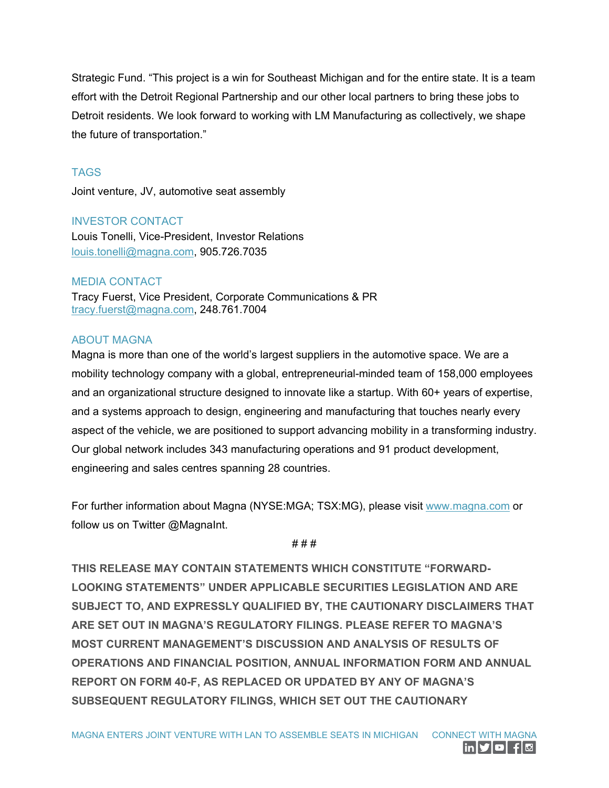Strategic Fund. "This project is a win for Southeast Michigan and for the entire state. It is a team effort with the Detroit Regional Partnership and our other local partners to bring these jobs to Detroit residents. We look forward to working with LM Manufacturing as collectively, we shape the future of transportation."

### **TAGS**

Joint venture, JV, automotive seat assembly

#### INVESTOR CONTACT

Louis Tonelli, Vice-President, Investor Relations [louis.tonelli@magna.com,](mailto:louis.tonelli@magna.com) 905.726.7035

#### MEDIA CONTACT

Tracy Fuerst, Vice President, Corporate Communications & PR [tracy.fuerst@magna.com,](mailto:tracy.fuerst@magna.com) 248.761.7004

#### ABOUT MAGNA

Magna is more than one of the world's largest suppliers in the automotive space. We are a mobility technology company with a global, entrepreneurial-minded team of 158,000 employees and an organizational structure designed to innovate like a startup. With 60+ years of expertise, and a systems approach to design, engineering and manufacturing that touches nearly every aspect of the vehicle, we are positioned to support advancing mobility in a transforming industry. Our global network includes 343 manufacturing operations and 91 product development, engineering and sales centres spanning 28 countries.

For further information about Magna (NYSE:MGA; TSX:MG), please visit [www.magna.com](http://www.magna.com/) or follow us on Twitter @MagnaInt.

#### # # #

**THIS RELEASE MAY CONTAIN STATEMENTS WHICH CONSTITUTE "FORWARD-LOOKING STATEMENTS" UNDER APPLICABLE SECURITIES LEGISLATION AND ARE SUBJECT TO, AND EXPRESSLY QUALIFIED BY, THE CAUTIONARY DISCLAIMERS THAT ARE SET OUT IN MAGNA'S REGULATORY FILINGS. PLEASE REFER TO MAGNA'S MOST CURRENT MANAGEMENT'S DISCUSSION AND ANALYSIS OF RESULTS OF OPERATIONS AND FINANCIAL POSITION, ANNUAL INFORMATION FORM AND ANNUAL REPORT ON FORM 40-F, AS REPLACED OR UPDATED BY ANY OF MAGNA'S SUBSEQUENT REGULATORY FILINGS, WHICH SET OUT THE CAUTIONARY**